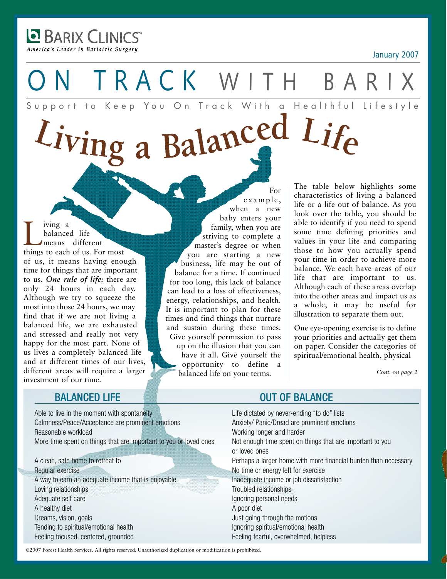**BARIX CLINICS** America's Leader in Bariatric Surgery

T R A C K W I T H B A Support to Keep You On Track With a Healthful Lifestyle

# Living a Balanced Life

I ving a<br>balanced life<br>means different<br>things to each of us. For most balanced life *I* means different of us, it means having enough time for things that are important to us. *One rule of life:* there are only 24 hours in each day. Although we try to squeeze the most into those 24 hours, we may find that if we are not living a balanced life, we are exhausted and stressed and really not very happy for the most part. None of us lives a completely balanced life and at different times of our lives, different areas will require a larger investment of our time.

 $\alpha$  x a m p  $\alpha$ , when a new baby enters your family, when you are striving to complete a master's degree or when you are starting a new business, life may be out of balance for a time. If continued for too long, this lack of balance can lead to a loss of effectiveness, energy, relationships, and health. It is important to plan for these times and find things that nurture and sustain during these times. Give yourself permission to pass up on the illusion that you can have it all. Give yourself the opportunity to define a balanced life on your terms.

The table below highlights some characteristics of living a balanced life or a life out of balance. As you look over the table, you should be able to identify if you need to spend some time defining priorities and values in your life and comparing those to how you actually spend your time in order to achieve more balance. We each have areas of our life that are important to us. Although each of these areas overlap into the other areas and impact us as a whole, it may be useful for illustration to separate them out.

One eye-opening exercise is to define your priorities and actually get them on paper. Consider the categories of spiritual/emotional health, physical

*Cont. on page 2*

Able to live in the moment with spontaneity Life dictated by never-ending "to do" lists Calmness/Peace/Acceptance are prominent emotions Anxiety/ Panic/Dread are prominent emotions Reasonable workload Working longer and harder More time spent on things that are important to you or loved ones Not enough time spent on things that are important to you

Regular exercise No time or energy left for exercise A way to earn an adequate income that is enjoyable Inadequate income or job dissatisfaction Loving relationships Troubled relationships Troubled relationships Adequate self care Ignoring personal needs A healthy diet A poor diet Dreams, vision, goals **Dreams**, vision, goals **Just going through the motions** Tending to spiritual/emotional health Ignoring spiritual/emotional health Feeling focused, centered, grounded Feeling fearful, overwhelmed, helpless

## BALANCED LIFE OUT OF BALANCE

For

or loved ones A clean, safe home to retreat to **Perhaps a larger home with more financial burden than necessary** 

©2007 Forest Health Services. All rights reserved. Unauthorized duplication or modification is prohibited.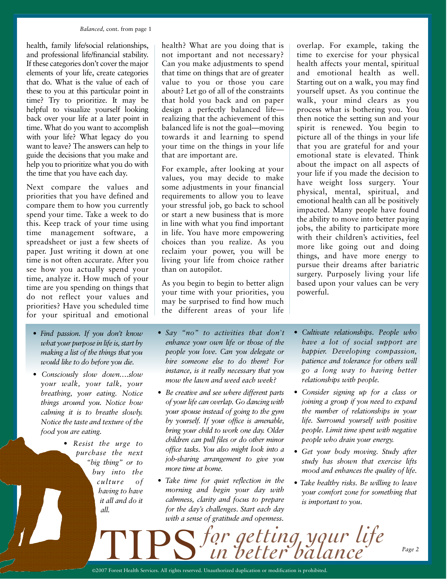#### *Balanced,* cont. from page 1

health, family life/social relationships, and professional life/financial stability. If these categories don't cover the major elements of your life, create categories that do. What is the value of each of these to you at this particular point in time? Try to prioritize. It may be helpful to visualize yourself looking back over your life at a later point in time. What do you want to accomplish with your life? What legacy do you want to leave? The answers can help to guide the decisions that you make and help you to prioritize what you do with the time that you have each day.

Next compare the values and priorities that you have defined and compare them to how you currently spend your time. Take a week to do this. Keep track of your time using time management software, a spreadsheet or just a few sheets of paper. Just writing it down at one time is not often accurate. After you see how you actually spend your time, analyze it. How much of your time are you spending on things that do not reflect your values and priorities? Have you scheduled time for your spiritual and emotional

- *• Find passion. If you don't know what your purpose in life is, start by making a list of the things that you would like to do before you die.*
- *Consciously slow down….slow your walk, your talk, your breathing, your eating. Notice things around you. Notice how calming it is to breathe slowly. Notice the taste and texture of the food you are eating.*
	- *Resist the urge to purchase the next "big thing" or to buy into the culture of having to have it all and do it all.*

health? What are you doing that is not important and not necessary? Can you make adjustments to spend that time on things that are of greater value to you or those you care about? Let go of all of the constraints that hold you back and on paper design a perfectly balanced life realizing that the achievement of this balanced life is not the goal—moving towards it and learning to spend your time on the things in your life that are important are.

For example, after looking at your values, you may decide to make some adjustments in your financial requirements to allow you to leave your stressful job, go back to school or start a new business that is more in line with what you find important in life. You have more empowering choices than you realize. As you reclaim your power, you will be living your life from choice rather than on autopilot.

As you begin to begin to better align your time with your priorities, you may be surprised to find how much the different areas of your life

- *• Say "no" to activities that don't enhance your own life or those of the people you love. Can you delegate or hire someone else to do them? For instance, is it really necessary that you mow the lawn and weed each week?*
- *• Be creative and see where different parts of yourlife can overlap. Go dancing with your spouse instead of going to the gym by yourself. If your office is amenable, bring your child to work one day. Older children can pull files or do other minor office tasks. You also might look into a job-sharing arrangement to give you more time at home.*
- *• Take time for quiet reflection in the morning and begin your day with calmness, clarity and focus to prepare for the day's challenges. Start each day with a sense of gratitude and openness.*

overlap. For example, taking the time to exercise for your physical health affects your mental, spiritual and emotional health as well. Starting out on a walk, you may find yourself upset. As you continue the walk, your mind clears as you process what is bothering you. You then notice the setting sun and your spirit is renewed. You begin to picture all of the things in your life that you are grateful for and your emotional state is elevated. Think about the impact on all aspects of your life if you made the decision to have weight loss surgery. Your physical, mental, spiritual, and emotional health can all be positively impacted. Many people have found the ability to move into better paying jobs, the ability to participate more with their children's activities, feel more like going out and doing things, and have more energy to pursue their dreams after bariatric surgery. Purposely living your life based upon your values can be very powerful.

- *• Cultivate relationships. People who have a lot of social support are happier. Developing compassion, patience and tolerance for others will go a long way to having better relationships with people.*
- *• Consider signing up for a class or joining a group if you need to expand the number of relationships in your life. Surround yourself with positive people. Limit time spent with negative people who drain your energy.*
- *• Get your body moving. Study after study has shown that exercise lifts mood and enhances the quality of life.*
- *• Take healthy risks. Be willing to leave your comfort zone for something that is important to you.*

*for getting your life in better balance* TIPS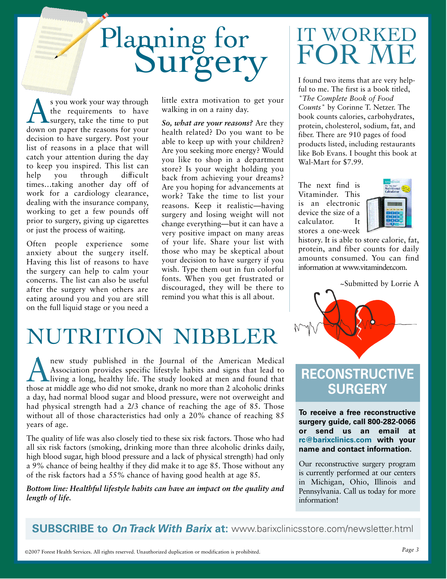# Planning for

s you work your way through<br>the requirements to have<br>down on paper the reasons for your the requirements to have surgery, take the time to put down on paper the reasons for your decision to have surgery. Post your list of reasons in a place that will catch your attention during the day to keep you inspired. This list can help you through difficult times…taking another day off of work for a cardiology clearance, dealing with the insurance company, working to get a few pounds off prior to surgery, giving up cigarettes or just the process of waiting.

Often people experience some anxiety about the surgery itself. Having this list of reasons to have the surgery can help to calm your concerns. The list can also be useful after the surgery when others are eating around you and you are still on the full liquid stage or you need a little extra motivation to get your walking in on a rainy day.

*So, what are your reasons?* Are they health related? Do you want to be able to keep up with your children? Are you seeking more energy? Would you like to shop in a department store? Is your weight holding you back from achieving your dreams? Are you hoping for advancements at work? Take the time to list your reasons. Keep it realistic—having surgery and losing weight will not change everything—but it can have a very positive impact on many areas of your life. Share your list with those who may be skeptical about your decision to have surgery if you wish. Type them out in fun colorful fonts. When you get frustrated or discouraged, they will be there to remind you what this is all about.

# NUTRITION NIBBLER

new study published in the Journal of the American Medical<br>Association provides specific lifestyle habits and signs that lead to<br>living a long, healthy life. The study looked at men and found that<br>those at middle age who d Association provides specific lifestyle habits and signs that lead to living a long, healthy life. The study looked at men and found that those at middle age who did not smoke, drank no more than 2 alcoholic drinks a day, had normal blood sugar and blood pressure, were not overweight and had physical strength had a 2/3 chance of reaching the age of 85. Those without all of those characteristics had only a 20% chance of reaching 85 years of age.

The quality of life was also closely tied to these six risk factors. Those who had all six risk factors (smoking, drinking more than three alcoholic drinks daily, high blood sugar, high blood pressure and a lack of physical strength) had only a 9% chance of being healthy if they did make it to age 85. Those without any of the risk factors had a 55% chance of having good health at age 85.

*Bottom line: Healthful lifestyle habits can have an impact on the quality and length of life.*

# WORKE P N

I found two items that are very helpful to me. The first is a book titled, *"The Complete Book of Food Counts"* by Corinne T. Netzer. The book counts calories, carbohydrates, protein, cholesterol, sodium, fat, and fiber. There are 910 pages of food products listed, including restaurants like Bob Evans. I bought this book at Wal-Mart for \$7.99.

The next find is Vitaminder. This is an electronic device the size of a calculator. It stores a one-week



history. It is able to store calorie, fat, protein, and fiber counts for daily amounts consumed. You can find information at www.vitaminder.com.

~Submitted by Lorrie A



# **RECONSTRUCTIVE SURGERY**

**To receive a free reconstructive surgery guide, call 800-282-0066 or send us an email at** rc@barixclinics.com with your **name and contact information.**

Our reconstructive surgery program is currently performed at our centers in Michigan, Ohio, Illinois and Pennsylvania. Call us today for more information!

**SUBSCRIBE to** *On Track With Barix* **at:** www.barixclinicsstore.com/newsletter.html